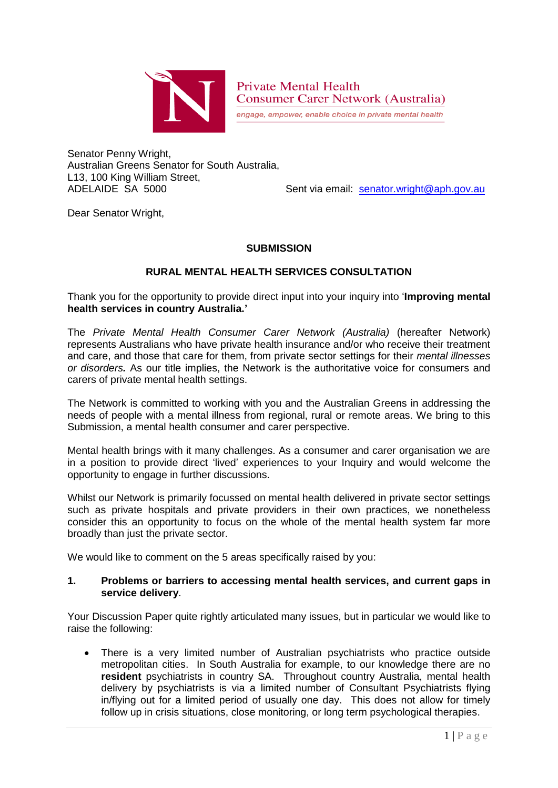

**Private Mental Health Consumer Carer Network (Australia)** 

engage, empower, enable choice in private mental health

Senator Penny Wright, Australian Greens Senator for South Australia, L13, 100 King William Street, ADELAIDE SA 5000 Sent via email: [senator.wright@aph.gov.au](mailto:senator.wright@aph.gov.au)

Dear Senator Wright,

# **SUBMISSION**

## **RURAL MENTAL HEALTH SERVICES CONSULTATION**

Thank you for the opportunity to provide direct input into your inquiry into '**Improving mental health services in country Australia.'**

The *Private Mental Health Consumer Carer Network (Australia)* (hereafter Network) represents Australians who have private health insurance and/or who receive their treatment and care, and those that care for them, from private sector settings for their *mental illnesses or disorders.* As our title implies, the Network is the authoritative voice for consumers and carers of private mental health settings.

The Network is committed to working with you and the Australian Greens in addressing the needs of people with a mental illness from regional, rural or remote areas. We bring to this Submission, a mental health consumer and carer perspective.

Mental health brings with it many challenges. As a consumer and carer organisation we are in a position to provide direct 'lived' experiences to your Inquiry and would welcome the opportunity to engage in further discussions.

Whilst our Network is primarily focussed on mental health delivered in private sector settings such as private hospitals and private providers in their own practices, we nonetheless consider this an opportunity to focus on the whole of the mental health system far more broadly than just the private sector.

We would like to comment on the 5 areas specifically raised by you:

#### **1. Problems or barriers to accessing mental health services, and current gaps in service delivery**.

Your Discussion Paper quite rightly articulated many issues, but in particular we would like to raise the following:

 There is a very limited number of Australian psychiatrists who practice outside metropolitan cities. In South Australia for example, to our knowledge there are no **resident** psychiatrists in country SA. Throughout country Australia, mental health delivery by psychiatrists is via a limited number of Consultant Psychiatrists flying in/flying out for a limited period of usually one day. This does not allow for timely follow up in crisis situations, close monitoring, or long term psychological therapies.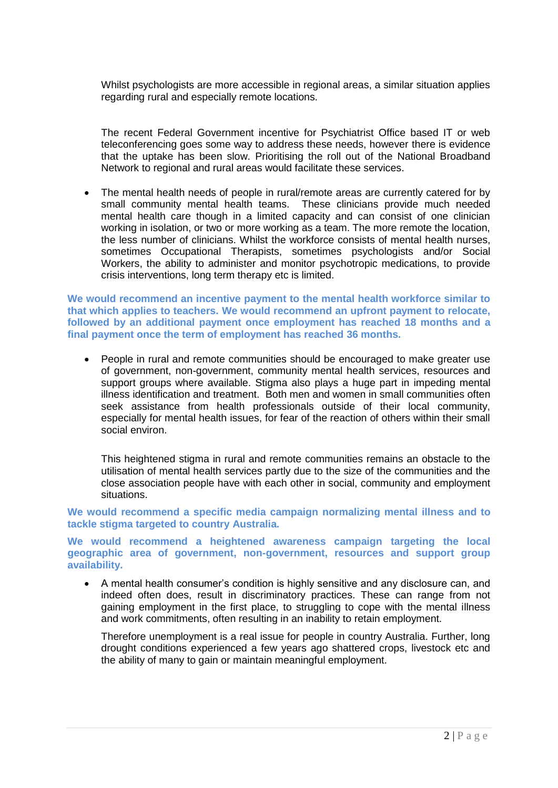Whilst psychologists are more accessible in regional areas, a similar situation applies regarding rural and especially remote locations.

The recent Federal Government incentive for Psychiatrist Office based IT or web teleconferencing goes some way to address these needs, however there is evidence that the uptake has been slow. Prioritising the roll out of the National Broadband Network to regional and rural areas would facilitate these services.

• The mental health needs of people in rural/remote areas are currently catered for by small community mental health teams. These clinicians provide much needed mental health care though in a limited capacity and can consist of one clinician working in isolation, or two or more working as a team. The more remote the location, the less number of clinicians. Whilst the workforce consists of mental health nurses, sometimes Occupational Therapists, sometimes psychologists and/or Social Workers, the ability to administer and monitor psychotropic medications, to provide crisis interventions, long term therapy etc is limited.

**We would recommend an incentive payment to the mental health workforce similar to that which applies to teachers. We would recommend an upfront payment to relocate, followed by an additional payment once employment has reached 18 months and a final payment once the term of employment has reached 36 months.**

 People in rural and remote communities should be encouraged to make greater use of government, non-government, community mental health services, resources and support groups where available. Stigma also plays a huge part in impeding mental illness identification and treatment. Both men and women in small communities often seek assistance from health professionals outside of their local community, especially for mental health issues, for fear of the reaction of others within their small social environ.

This heightened stigma in rural and remote communities remains an obstacle to the utilisation of mental health services partly due to the size of the communities and the close association people have with each other in social, community and employment situations.

**We would recommend a specific media campaign normalizing mental illness and to tackle stigma targeted to country Australia.** 

**We would recommend a heightened awareness campaign targeting the local geographic area of government, non-government, resources and support group availability.**

 A mental health consumer's condition is highly sensitive and any disclosure can, and indeed often does, result in discriminatory practices. These can range from not gaining employment in the first place, to struggling to cope with the mental illness and work commitments, often resulting in an inability to retain employment.

Therefore unemployment is a real issue for people in country Australia. Further, long drought conditions experienced a few years ago shattered crops, livestock etc and the ability of many to gain or maintain meaningful employment.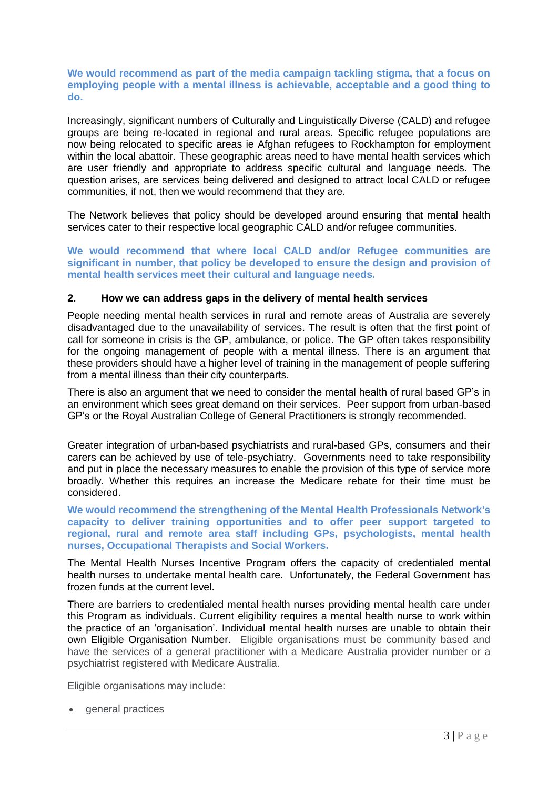#### **We would recommend as part of the media campaign tackling stigma, that a focus on employing people with a mental illness is achievable, acceptable and a good thing to do.**

Increasingly, significant numbers of Culturally and Linguistically Diverse (CALD) and refugee groups are being re-located in regional and rural areas. Specific refugee populations are now being relocated to specific areas ie Afghan refugees to Rockhampton for employment within the local abattoir. These geographic areas need to have mental health services which are user friendly and appropriate to address specific cultural and language needs. The question arises, are services being delivered and designed to attract local CALD or refugee communities, if not, then we would recommend that they are.

The Network believes that policy should be developed around ensuring that mental health services cater to their respective local geographic CALD and/or refugee communities.

**We would recommend that where local CALD and/or Refugee communities are significant in number, that policy be developed to ensure the design and provision of mental health services meet their cultural and language needs.**

#### **2. How we can address gaps in the delivery of mental health services**

People needing mental health services in rural and remote areas of Australia are severely disadvantaged due to the unavailability of services. The result is often that the first point of call for someone in crisis is the GP, ambulance, or police. The GP often takes responsibility for the ongoing management of people with a mental illness. There is an argument that these providers should have a higher level of training in the management of people suffering from a mental illness than their city counterparts.

There is also an argument that we need to consider the mental health of rural based GP's in an environment which sees great demand on their services. Peer support from urban-based GP's or the Royal Australian College of General Practitioners is strongly recommended.

Greater integration of urban-based psychiatrists and rural-based GPs, consumers and their carers can be achieved by use of tele-psychiatry. Governments need to take responsibility and put in place the necessary measures to enable the provision of this type of service more broadly. Whether this requires an increase the Medicare rebate for their time must be considered.

**We would recommend the strengthening of the Mental Health Professionals Network's capacity to deliver training opportunities and to offer peer support targeted to regional, rural and remote area staff including GPs, psychologists, mental health nurses, Occupational Therapists and Social Workers.**

The Mental Health Nurses Incentive Program offers the capacity of credentialed mental health nurses to undertake mental health care. Unfortunately, the Federal Government has frozen funds at the current level.

There are barriers to credentialed mental health nurses providing mental health care under this Program as individuals. Current eligibility requires a mental health nurse to work within the practice of an 'organisation'. Individual mental health nurses are unable to obtain their own Eligible Organisation Number. Eligible organisations must be community based and have the services of a general practitioner with a Medicare Australia provider number or a psychiatrist registered with Medicare Australia.

Eligible organisations may include:

• general practices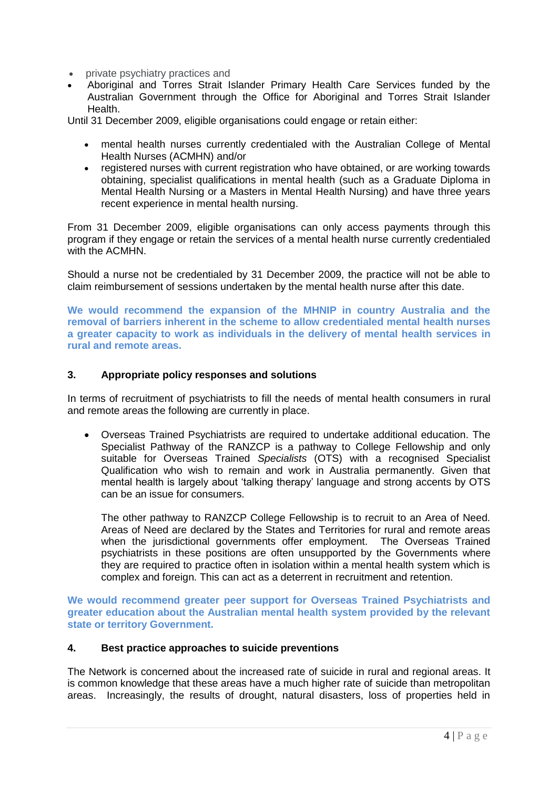- private psychiatry practices and
- Aboriginal and Torres Strait Islander Primary Health Care Services funded by the Australian Government through the Office for Aboriginal and Torres Strait Islander Health.

Until 31 December 2009, eligible organisations could engage or retain either:

- mental health nurses currently credentialed with the Australian College of Mental Health Nurses (ACMHN) and/or
- registered nurses with current registration who have obtained, or are working towards obtaining, specialist qualifications in mental health (such as a Graduate Diploma in Mental Health Nursing or a Masters in Mental Health Nursing) and have three years recent experience in mental health nursing.

From 31 December 2009, eligible organisations can only access payments through this program if they engage or retain the services of a mental health nurse currently credentialed with the ACMHN.

Should a nurse not be credentialed by 31 December 2009, the practice will not be able to claim reimbursement of sessions undertaken by the mental health nurse after this date.

**We would recommend the expansion of the MHNIP in country Australia and the removal of barriers inherent in the scheme to allow credentialed mental health nurses a greater capacity to work as individuals in the delivery of mental health services in rural and remote areas.**

## **3. Appropriate policy responses and solutions**

In terms of recruitment of psychiatrists to fill the needs of mental health consumers in rural and remote areas the following are currently in place.

 Overseas Trained Psychiatrists are required to undertake additional education. The Specialist Pathway of the RANZCP is a pathway to College Fellowship and only suitable for Overseas Trained *Specialists* (OTS) with a recognised Specialist Qualification who wish to remain and work in Australia permanently. Given that mental health is largely about 'talking therapy' language and strong accents by OTS can be an issue for consumers.

The other pathway to RANZCP College Fellowship is to recruit to an Area of Need. Areas of Need are declared by the States and Territories for rural and remote areas when the jurisdictional governments offer employment. The Overseas Trained psychiatrists in these positions are often unsupported by the Governments where they are required to practice often in isolation within a mental health system which is complex and foreign. This can act as a deterrent in recruitment and retention.

**We would recommend greater peer support for Overseas Trained Psychiatrists and greater education about the Australian mental health system provided by the relevant state or territory Government.**

## **4. Best practice approaches to suicide preventions**

The Network is concerned about the increased rate of suicide in rural and regional areas. It is common knowledge that these areas have a much higher rate of suicide than metropolitan areas. Increasingly, the results of drought, natural disasters, loss of properties held in